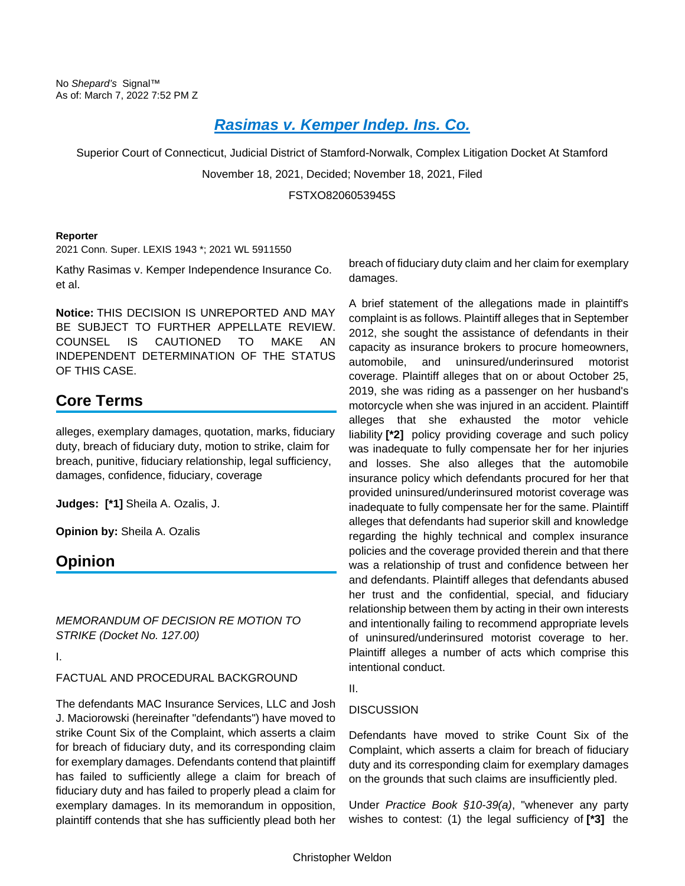# *[Rasimas v. Kemper Indep. Ins. Co.](https://advance.lexis.com/api/document?collection=cases&id=urn:contentItem:649H-1YJ1-JYYX-60SH-00000-00&context=1000516)*

Superior Court of Connecticut, Judicial District of Stamford-Norwalk, Complex Litigation Docket At Stamford

November 18, 2021, Decided; November 18, 2021, Filed

### FSTXO8206053945S

#### **Reporter**

2021 Conn. Super. LEXIS 1943 \*; 2021 WL 5911550

Kathy Rasimas v. Kemper Independence Insurance Co. et al.

**Notice:** THIS DECISION IS UNREPORTED AND MAY BE SUBJECT TO FURTHER APPELLATE REVIEW. COUNSEL IS CAUTIONED TO MAKE AN INDEPENDENT DETERMINATION OF THE STATUS OF THIS CASE.

# **Core Terms**

alleges, exemplary damages, quotation, marks, fiduciary duty, breach of fiduciary duty, motion to strike, claim for breach, punitive, fiduciary relationship, legal sufficiency, damages, confidence, fiduciary, coverage

**Judges: [\*1]** Sheila A. Ozalis, J.

**Opinion by:** Sheila A. Ozalis

# **Opinion**

*MEMORANDUM OF DECISION RE MOTION TO STRIKE (Docket No. 127.00)*

I.

## FACTUAL AND PROCEDURAL BACKGROUND

The defendants MAC Insurance Services, LLC and Josh J. Maciorowski (hereinafter "defendants") have moved to strike Count Six of the Complaint, which asserts a claim for breach of fiduciary duty, and its corresponding claim for exemplary damages. Defendants contend that plaintiff has failed to sufficiently allege a claim for breach of fiduciary duty and has failed to properly plead a claim for exemplary damages. In its memorandum in opposition, plaintiff contends that she has sufficiently plead both her

breach of fiduciary duty claim and her claim for exemplary damages.

A brief statement of the allegations made in plaintiff's complaint is as follows. Plaintiff alleges that in September 2012, she sought the assistance of defendants in their capacity as insurance brokers to procure homeowners, automobile, and uninsured/underinsured motorist coverage. Plaintiff alleges that on or about October 25, 2019, she was riding as a passenger on her husband's motorcycle when she was injured in an accident. Plaintiff alleges that she exhausted the motor vehicle liability **[\*2]** policy providing coverage and such policy was inadequate to fully compensate her for her injuries and losses. She also alleges that the automobile insurance policy which defendants procured for her that provided uninsured/underinsured motorist coverage was inadequate to fully compensate her for the same. Plaintiff alleges that defendants had superior skill and knowledge regarding the highly technical and complex insurance policies and the coverage provided therein and that there was a relationship of trust and confidence between her and defendants. Plaintiff alleges that defendants abused her trust and the confidential, special, and fiduciary relationship between them by acting in their own interests and intentionally failing to recommend appropriate levels of uninsured/underinsured motorist coverage to her. Plaintiff alleges a number of acts which comprise this intentional conduct.

### II.

## **DISCUSSION**

Defendants have moved to strike Count Six of the Complaint, which asserts a claim for breach of fiduciary duty and its corresponding claim for exemplary damages on the grounds that such claims are insufficiently pled.

Under *Practice Book §10-39(a)*, "whenever any party wishes to contest: (1) the legal sufficiency of **[\*3]** the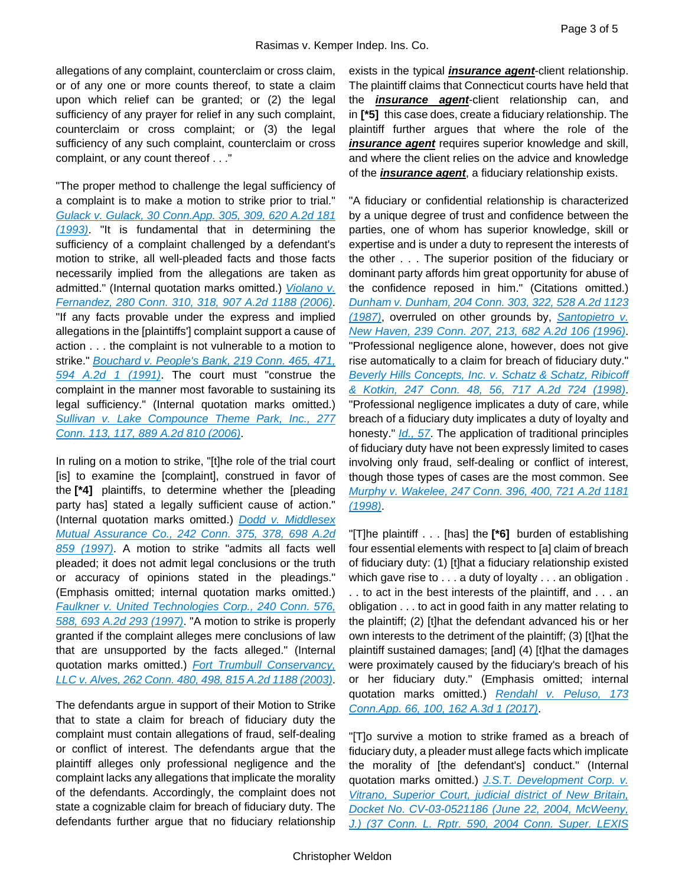allegations of any complaint, counterclaim or cross claim, or of any one or more counts thereof, to state a claim upon which relief can be granted; or (2) the legal sufficiency of any prayer for relief in any such complaint, counterclaim or cross complaint; or (3) the legal sufficiency of any such complaint, counterclaim or cross complaint, or any count thereof . . ."

"The proper method to challenge the legal sufficiency of a complaint is to make a motion to strike prior to trial." *[Gulack v. Gulack, 30 Conn.App. 305, 309, 620 A.2d 181](https://advance.lexis.com/api/document?collection=cases&id=urn:contentItem:3RX4-3BK0-003D-81Y4-00000-00&context=1000516)  [\(1993\)](https://advance.lexis.com/api/document?collection=cases&id=urn:contentItem:3RX4-3BK0-003D-81Y4-00000-00&context=1000516)*. "It is fundamental that in determining the sufficiency of a complaint challenged by a defendant's motion to strike, all well-pleaded facts and those facts necessarily implied from the allegations are taken as admitted." (Internal quotation marks omitted.) *[Violano v.](https://advance.lexis.com/api/document?collection=cases&id=urn:contentItem:4M4K-P000-0039-40N4-00000-00&context=1000516)  [Fernandez, 280 Conn. 310, 318, 907 A.2d 1188](https://advance.lexis.com/api/document?collection=cases&id=urn:contentItem:4M4K-P000-0039-40N4-00000-00&context=1000516) (2006)*. "If any facts provable under the express and implied allegations in the [plaintiffs'] complaint support a cause of action . . . the complaint is not vulnerable to a motion to strike." *[Bouchard v. People's Bank, 219 Conn. 465, 471,](https://advance.lexis.com/api/document?collection=cases&id=urn:contentItem:3RX4-0B90-003D-83WG-00000-00&context=1000516)  [594 A.2d 1 \(1991\)](https://advance.lexis.com/api/document?collection=cases&id=urn:contentItem:3RX4-0B90-003D-83WG-00000-00&context=1000516)*. The court must "construe the complaint in the manner most favorable to sustaining its legal sufficiency." (Internal quotation marks omitted.) *[Sullivan v. Lake Compounce Theme Park, Inc., 277](https://advance.lexis.com/api/document?collection=cases&id=urn:contentItem:4J6W-V5N0-0039-43H5-00000-00&context=1000516)  [Conn. 113, 117, 889 A.2d 810 \(2006\)](https://advance.lexis.com/api/document?collection=cases&id=urn:contentItem:4J6W-V5N0-0039-43H5-00000-00&context=1000516)*.

In ruling on a motion to strike, "[t]he role of the trial court [is] to examine the [complaint], construed in favor of the **[\*4]** plaintiffs, to determine whether the [pleading party has] stated a legally sufficient cause of action." (Internal quotation marks omitted.) *[Dodd v. Middlesex](https://advance.lexis.com/api/document?collection=cases&id=urn:contentItem:3RR5-G5Y0-003D-8053-00000-00&context=1000516)  [Mutual Assurance Co., 242 Conn. 375, 378, 698 A.2d](https://advance.lexis.com/api/document?collection=cases&id=urn:contentItem:3RR5-G5Y0-003D-8053-00000-00&context=1000516)  [859 \(1997\)](https://advance.lexis.com/api/document?collection=cases&id=urn:contentItem:3RR5-G5Y0-003D-8053-00000-00&context=1000516)*. A motion to strike "admits all facts well pleaded; it does not admit legal conclusions or the truth or accuracy of opinions stated in the pleadings." (Emphasis omitted; internal quotation marks omitted.) *[Faulkner v. United Technologies Corp., 240 Conn. 576,](https://advance.lexis.com/api/document?collection=cases&id=urn:contentItem:3RX3-YP70-003D-80PT-00000-00&context=1000516)  [588, 693 A.2d 293 \(1997\)](https://advance.lexis.com/api/document?collection=cases&id=urn:contentItem:3RX3-YP70-003D-80PT-00000-00&context=1000516)*. "A motion to strike is properly granted if the complaint alleges mere conclusions of law that are unsupported by the facts alleged." (Internal quotation marks omitted.) *[Fort Trumbull Conservancy,](https://advance.lexis.com/api/document?collection=cases&id=urn:contentItem:482G-8G80-0039-4496-00000-00&context=1000516)  [LLC v. Alves, 262 Conn. 480, 498, 815 A.2d 1188 \(2003\)](https://advance.lexis.com/api/document?collection=cases&id=urn:contentItem:482G-8G80-0039-4496-00000-00&context=1000516)*.

The defendants argue in support of their Motion to Strike that to state a claim for breach of fiduciary duty the complaint must contain allegations of fraud, self-dealing or conflict of interest. The defendants argue that the plaintiff alleges only professional negligence and the complaint lacks any allegations that implicate the morality of the defendants. Accordingly, the complaint does not state a cognizable claim for breach of fiduciary duty. The defendants further argue that no fiduciary relationship

exists in the typical *insurance agent*-client relationship. The plaintiff claims that Connecticut courts have held that the *insurance agent*-client relationship can, and in **[\*5]** this case does, create a fiduciary relationship. The plaintiff further argues that where the role of the *insurance agent* requires superior knowledge and skill, and where the client relies on the advice and knowledge of the *insurance agent*, a fiduciary relationship exists.

"A fiduciary or confidential relationship is characterized by a unique degree of trust and confidence between the parties, one of whom has superior knowledge, skill or expertise and is under a duty to represent the interests of the other . . . The superior position of the fiduciary or dominant party affords him great opportunity for abuse of the confidence reposed in him." (Citations omitted.) *[Dunham v. Dunham, 204 Conn. 303, 322, 528 A.2d 1123](https://advance.lexis.com/api/document?collection=cases&id=urn:contentItem:3RX4-0S60-003D-80NF-00000-00&context=1000516)  [\(1987\)](https://advance.lexis.com/api/document?collection=cases&id=urn:contentItem:3RX4-0S60-003D-80NF-00000-00&context=1000516)*, overruled on other grounds by, *[Santopietro v.](https://advance.lexis.com/api/document?collection=cases&id=urn:contentItem:3RX3-YRV0-003D-8135-00000-00&context=1000516)  [New Haven, 239 Conn. 207, 213, 682 A.2d 106 \(1996\)](https://advance.lexis.com/api/document?collection=cases&id=urn:contentItem:3RX3-YRV0-003D-8135-00000-00&context=1000516)*. "Professional negligence alone, however, does not give rise automatically to a claim for breach of fiduciary duty." *[Beverly Hills Concepts, Inc. v. Schatz & Schatz, Ribicoff](https://advance.lexis.com/api/document?collection=cases&id=urn:contentItem:3TKD-TV50-0039-425B-00000-00&context=1000516)  [& Kotkin, 247 Conn. 48, 56, 717 A.2d 724 \(1998\)](https://advance.lexis.com/api/document?collection=cases&id=urn:contentItem:3TKD-TV50-0039-425B-00000-00&context=1000516)*. "Professional negligence implicates a duty of care, while breach of a fiduciary duty implicates a duty of loyalty and honesty." *[Id., 57](https://advance.lexis.com/api/document?collection=cases&id=urn:contentItem:3TKD-TV50-0039-425B-00000-00&context=1000516)*. The application of traditional principles of fiduciary duty have not been expressly limited to cases involving only fraud, self-dealing or conflict of interest, though those types of cases are the most common. See *[Murphy v. Wakelee, 247 Conn. 396, 400, 721 A.2d 1181](https://advance.lexis.com/api/document?collection=cases&id=urn:contentItem:3VCK-S950-0039-44JC-00000-00&context=1000516)  [\(1998\)](https://advance.lexis.com/api/document?collection=cases&id=urn:contentItem:3VCK-S950-0039-44JC-00000-00&context=1000516)*.

"[T]he plaintiff . . . [has] the **[\*6]** burden of establishing four essential elements with respect to [a] claim of breach of fiduciary duty: (1) [t]hat a fiduciary relationship existed which gave rise to . . . a duty of loyalty . . . an obligation . . . to act in the best interests of the plaintiff, and . . . an obligation . . . to act in good faith in any matter relating to the plaintiff; (2) [t]hat the defendant advanced his or her own interests to the detriment of the plaintiff; (3) [t]hat the plaintiff sustained damages; [and] (4) [t]hat the damages were proximately caused by the fiduciary's breach of his or her fiduciary duty." (Emphasis omitted; internal quotation marks omitted.) *[Rendahl v. Peluso, 173](https://advance.lexis.com/api/document?collection=cases&id=urn:contentItem:5NDT-74M1-F04C-5005-00000-00&context=1000516)  [Conn.App. 66, 100, 162 A.3d 1 \(2017\)](https://advance.lexis.com/api/document?collection=cases&id=urn:contentItem:5NDT-74M1-F04C-5005-00000-00&context=1000516)*.

"[T]o survive a motion to strike framed as a breach of fiduciary duty, a pleader must allege facts which implicate the morality of [the defendant's] conduct." (Internal quotation marks omitted.) *[J.S.T. Development Corp. v.](https://advance.lexis.com/api/document?collection=cases&id=urn:contentItem:4D8F-XRR0-0039-40PY-00000-00&context=1000516)  [Vitrano, Superior Court, judicial district of New Britain,](https://advance.lexis.com/api/document?collection=cases&id=urn:contentItem:4D8F-XRR0-0039-40PY-00000-00&context=1000516)  [Docket No. CV-03-0521186 \(June 22, 2004, McWeeny,](https://advance.lexis.com/api/document?collection=cases&id=urn:contentItem:4D8F-XRR0-0039-40PY-00000-00&context=1000516)  [J.\) \(37 Conn. L. Rptr. 590, 2004 Conn. Super. LEXIS](https://advance.lexis.com/api/document?collection=cases&id=urn:contentItem:4D8F-XRR0-0039-40PY-00000-00&context=1000516)*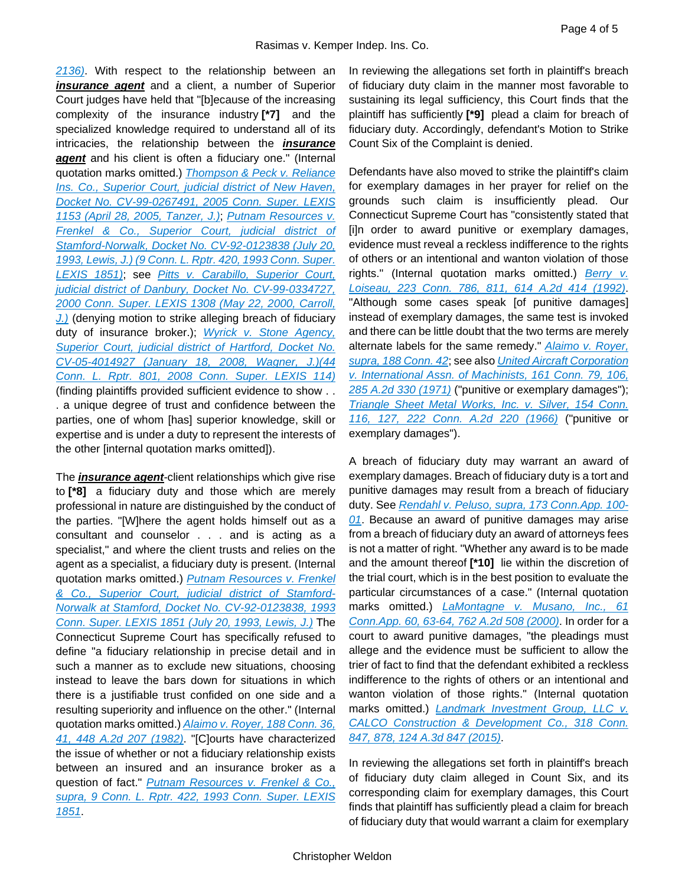*[2136\)](https://advance.lexis.com/api/document?collection=cases&id=urn:contentItem:4D8F-XRR0-0039-40PY-00000-00&context=1000516)*. With respect to the relationship between an *insurance agent* and a client, a number of Superior Court judges have held that "[b]ecause of the increasing complexity of the insurance industry **[\*7]** and the specialized knowledge required to understand all of its intricacies, the relationship between the *insurance agent* and his client is often a fiduciary one." (Internal quotation marks omitted.) *[Thompson & Peck v. Reliance](https://advance.lexis.com/api/document?collection=cases&id=urn:contentItem:4G7P-CD40-0039-43DD-00000-00&context=1000516)  [Ins. Co., Superior Court, judicial district of New Haven,](https://advance.lexis.com/api/document?collection=cases&id=urn:contentItem:4G7P-CD40-0039-43DD-00000-00&context=1000516)  [Docket No. CV-99-0267491, 2005 Conn. Super. LEXIS](https://advance.lexis.com/api/document?collection=cases&id=urn:contentItem:4G7P-CD40-0039-43DD-00000-00&context=1000516)  [1153 \(April 28, 2005, Tanzer, J.\)](https://advance.lexis.com/api/document?collection=cases&id=urn:contentItem:4G7P-CD40-0039-43DD-00000-00&context=1000516)*; *[Putnam Resources v.](https://advance.lexis.com/api/document?collection=cases&id=urn:contentItem:3RX4-C6J0-003D-84WP-00000-00&context=1000516)  [Frenkel & Co., Superior Court, judicial district of](https://advance.lexis.com/api/document?collection=cases&id=urn:contentItem:3RX4-C6J0-003D-84WP-00000-00&context=1000516)  [Stamford-Norwalk, Docket No. CV-92-0123838 \(July 20,](https://advance.lexis.com/api/document?collection=cases&id=urn:contentItem:3RX4-C6J0-003D-84WP-00000-00&context=1000516)  [1993, Lewis, J.\) \(9 Conn. L. Rptr. 420, 1993 Conn. Super.](https://advance.lexis.com/api/document?collection=cases&id=urn:contentItem:3RX4-C6J0-003D-84WP-00000-00&context=1000516)  [LEXIS 1851\)](https://advance.lexis.com/api/document?collection=cases&id=urn:contentItem:3RX4-C6J0-003D-84WP-00000-00&context=1000516)*; see *[Pitts v. Carabillo, Superior Court,](https://advance.lexis.com/api/document?collection=cases&id=urn:contentItem:40G9-8SC0-0039-452G-00000-00&context=1000516)  [judicial district of Danbury, Docket No. CV-99-0334727,](https://advance.lexis.com/api/document?collection=cases&id=urn:contentItem:40G9-8SC0-0039-452G-00000-00&context=1000516)  [2000 Conn. Super. LEXIS 1308 \(May 22, 2000, Carroll,](https://advance.lexis.com/api/document?collection=cases&id=urn:contentItem:40G9-8SC0-0039-452G-00000-00&context=1000516)  [J.\)](https://advance.lexis.com/api/document?collection=cases&id=urn:contentItem:40G9-8SC0-0039-452G-00000-00&context=1000516)* (denying motion to strike alleging breach of fiduciary duty of insurance broker.); *[Wyrick v. Stone Agency,](https://advance.lexis.com/api/document?collection=cases&id=urn:contentItem:4RSC-93R0-TX4N-G05T-00000-00&context=1000516)  [Superior Court, judicial district of Hartford, Docket No.](https://advance.lexis.com/api/document?collection=cases&id=urn:contentItem:4RSC-93R0-TX4N-G05T-00000-00&context=1000516)  [CV-05-4014927 \(January 18, 2008, Wagner, J.\)\(44](https://advance.lexis.com/api/document?collection=cases&id=urn:contentItem:4RSC-93R0-TX4N-G05T-00000-00&context=1000516)  [Conn. L. Rptr. 801, 2008 Conn. Super. LEXIS 114\)](https://advance.lexis.com/api/document?collection=cases&id=urn:contentItem:4RSC-93R0-TX4N-G05T-00000-00&context=1000516)* (finding plaintiffs provided sufficient evidence to show . . . a unique degree of trust and confidence between the parties, one of whom [has] superior knowledge, skill or expertise and is under a duty to represent the interests of the other [internal quotation marks omitted]).

The *insurance agent*-client relationships which give rise to **[\*8]** a fiduciary duty and those which are merely professional in nature are distinguished by the conduct of the parties. "[W]here the agent holds himself out as a consultant and counselor . . . and is acting as a specialist," and where the client trusts and relies on the agent as a specialist, a fiduciary duty is present. (Internal quotation marks omitted.) *[Putnam Resources v. Frenkel](https://advance.lexis.com/api/document?collection=cases&id=urn:contentItem:3RX4-C6J0-003D-84WP-00000-00&context=1000516)  [& Co., Superior Court, judicial district of Stamford-](https://advance.lexis.com/api/document?collection=cases&id=urn:contentItem:3RX4-C6J0-003D-84WP-00000-00&context=1000516)[Norwalk at Stamford, Docket No. CV-92-0123838, 1993](https://advance.lexis.com/api/document?collection=cases&id=urn:contentItem:3RX4-C6J0-003D-84WP-00000-00&context=1000516)  Conn. Super. LEXIS [1851 \(July 20, 1993, Lewis, J.\)](https://advance.lexis.com/api/document?collection=cases&id=urn:contentItem:3RX4-C6J0-003D-84WP-00000-00&context=1000516)* The Connecticut Supreme Court has specifically refused to define "a fiduciary relationship in precise detail and in such a manner as to exclude new situations, choosing instead to leave the bars down for situations in which there is a justifiable trust confided on one side and a resulting superiority and influence on the other." (Internal quotation marks omitted.) *[Alaimo v. Royer, 188 Conn. 36,](https://advance.lexis.com/api/document?collection=cases&id=urn:contentItem:3RX4-15N0-003D-82FJ-00000-00&context=1000516)  [41, 448 A.2d 207 \(1982\)](https://advance.lexis.com/api/document?collection=cases&id=urn:contentItem:3RX4-15N0-003D-82FJ-00000-00&context=1000516)*. "[C]ourts have characterized the issue of whether or not a fiduciary relationship exists between an insured and an insurance broker as a question of fact." *[Putnam Resources v. Frenkel & Co.,](https://advance.lexis.com/api/document?collection=cases&id=urn:contentItem:3RX4-C6J0-003D-84WP-00000-00&context=1000516)  [supra, 9 Conn. L. Rptr. 422, 1993 Conn. Super. LEXIS](https://advance.lexis.com/api/document?collection=cases&id=urn:contentItem:3RX4-C6J0-003D-84WP-00000-00&context=1000516)  [1851](https://advance.lexis.com/api/document?collection=cases&id=urn:contentItem:3RX4-C6J0-003D-84WP-00000-00&context=1000516)*.

In reviewing the allegations set forth in plaintiff's breach of fiduciary duty claim in the manner most favorable to sustaining its legal sufficiency, this Court finds that the plaintiff has sufficiently **[\*9]** plead a claim for breach of fiduciary duty. Accordingly, defendant's Motion to Strike Count Six of the Complaint is denied.

Defendants have also moved to strike the plaintiff's claim for exemplary damages in her prayer for relief on the grounds such claim is insufficiently plead. Our Connecticut Supreme Court has "consistently stated that [i]n order to award punitive or exemplary damages, evidence must reveal a reckless indifference to the rights of others or an intentional and wanton violation of those rights." (Internal quotation marks omitted.) *[Berry v.](https://advance.lexis.com/api/document?collection=cases&id=urn:contentItem:3RX4-0720-003D-83B4-00000-00&context=1000516)  [Loiseau, 223 Conn. 786, 811, 614 A.2d 414 \(1992\)](https://advance.lexis.com/api/document?collection=cases&id=urn:contentItem:3RX4-0720-003D-83B4-00000-00&context=1000516)*. "Although some cases speak [of punitive damages] instead of exemplary damages, the same test is invoked and there can be little doubt that the two terms are merely alternate labels for the same remedy." *[Alaimo v. Royer,](https://advance.lexis.com/api/document?collection=cases&id=urn:contentItem:3RX4-15N0-003D-82FJ-00000-00&context=1000516)  [supra, 188 Conn. 42](https://advance.lexis.com/api/document?collection=cases&id=urn:contentItem:3RX4-15N0-003D-82FJ-00000-00&context=1000516)*; see also *[United Aircraft Corporation](https://advance.lexis.com/api/document?collection=cases&id=urn:contentItem:3RX4-2390-003D-823D-00000-00&context=1000516)  [v. International Assn. of Machinists, 161 Conn. 79, 106,](https://advance.lexis.com/api/document?collection=cases&id=urn:contentItem:3RX4-2390-003D-823D-00000-00&context=1000516)  [285 A.2d 330 \(1971\)](https://advance.lexis.com/api/document?collection=cases&id=urn:contentItem:3RX4-2390-003D-823D-00000-00&context=1000516)* ("punitive or exemplary damages"); *[Triangle Sheet Metal Works, Inc. v. Silver, 154 Conn.](https://advance.lexis.com/api/document?collection=cases&id=urn:contentItem:3RX4-2C60-003D-83J9-00000-00&context=1000516)  [116, 127, 222 Conn. A.2d 220 \(1966\)](https://advance.lexis.com/api/document?collection=cases&id=urn:contentItem:3RX4-2C60-003D-83J9-00000-00&context=1000516)* ("punitive or exemplary damages").

A breach of fiduciary duty may warrant an award of exemplary damages. Breach of fiduciary duty is a tort and punitive damages may result from a breach of fiduciary duty. See *[Rendahl v. Peluso, supra, 173 Conn.App. 100-](https://advance.lexis.com/api/document?collection=cases&id=urn:contentItem:5NDT-74M1-F04C-5005-00000-00&context=1000516) [01](https://advance.lexis.com/api/document?collection=cases&id=urn:contentItem:5NDT-74M1-F04C-5005-00000-00&context=1000516)*. Because an award of punitive damages may arise from a breach of fiduciary duty an award of attorneys fees is not a matter of right. "Whether any award is to be made and the amount thereof **[\*10]** lie within the discretion of the trial court, which is in the best position to evaluate the particular circumstances of a case." (Internal quotation marks omitted.) *[LaMontagne v. Musano, Inc., 61](https://advance.lexis.com/api/document?collection=cases&id=urn:contentItem:41TW-6P40-0039-41GJ-00000-00&context=1000516)  [Conn.App. 60, 63-64, 762 A.2d 508 \(2000\)](https://advance.lexis.com/api/document?collection=cases&id=urn:contentItem:41TW-6P40-0039-41GJ-00000-00&context=1000516)*. In order for a court to award punitive damages, "the pleadings must allege and the evidence must be sufficient to allow the trier of fact to find that the defendant exhibited a reckless indifference to the rights of others or an intentional and wanton violation of those rights." (Internal quotation marks omitted.) *[Landmark Investment Group, LLC v.](https://advance.lexis.com/api/document?collection=cases&id=urn:contentItem:5H02-8W11-F04C-5029-00000-00&context=1000516)  [CALCO Construction & Development Co., 318 Conn.](https://advance.lexis.com/api/document?collection=cases&id=urn:contentItem:5H02-8W11-F04C-5029-00000-00&context=1000516)  [847, 878, 124 A.3d 847 \(2015\)](https://advance.lexis.com/api/document?collection=cases&id=urn:contentItem:5H02-8W11-F04C-5029-00000-00&context=1000516)*.

In reviewing the allegations set forth in plaintiff's breach of fiduciary duty claim alleged in Count Six, and its corresponding claim for exemplary damages, this Court finds that plaintiff has sufficiently plead a claim for breach of fiduciary duty that would warrant a claim for exemplary